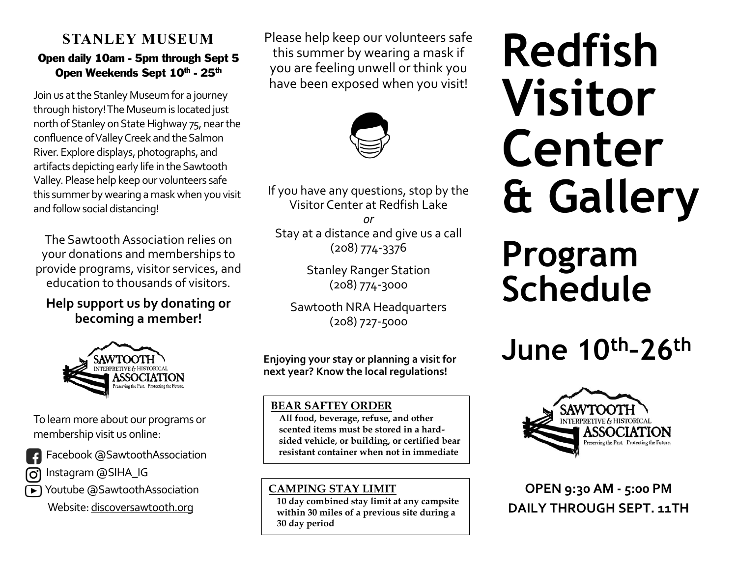## **STANLEY MUSEUM**

#### Open daily 10am - 5pm through Sept 5 Open Weekends Sept 10th - 25th

Join us at the Stanley Museum for a journey through history! The Museum is located just north of Stanley on State Highway 75, near the confluence of Valley Creek and the Salmon River. Explore displays, photographs, and artifacts depicting early life in the Sawtooth Valley. Please help keep our volunteers safe this summer by wearing a mask when you visit and follow social distancing!

The Sawtooth Association relies on your donations and memberships to provide programs, visitor services, and education to thousands of visitors.

**Help support us by donating or becoming a member!** 



To learn more about our programs or membership visit us online:

**Facebook @SawtoothAssociation** 

**ြ Instagram @SIHA\_IG** 



Website[: discoversawtooth.org](http://discoversawtooth.org/)

Please help keep our volunteers safe this summer by wearing a mask if you are feeling unwell or think you have been exposed when you visit!



If you have any questions, stop by the Visitor Center at Redfish Lake

*or*  Stay at a distance and give us a call (208) 774-3376

> Stanley Ranger Station (208) 774-3000

Sawtooth NRA Headquarters (208) 727-5000

**Enjoying your stay or planning a visit for next year? Know the local regulations!** 

#### **BEAR SAFTEY ORDER**

**All food, beverage, refuse, and other scented items must be stored in a hardsided vehicle, or building, or certified bear resistant container when not in immediate** 

#### **CAMPING STAY LIMIT**

**use.**

**10 day combined stay limit at any campsite within 30 miles of a previous site during a 30 day period**

# **Redfish Visitor Center & Gallery**

# **Program Schedule**

# **June 10th–26th**



**OPEN 9:30 AM - 5:00 PM DAILY THROUGH SEPT. 11TH**